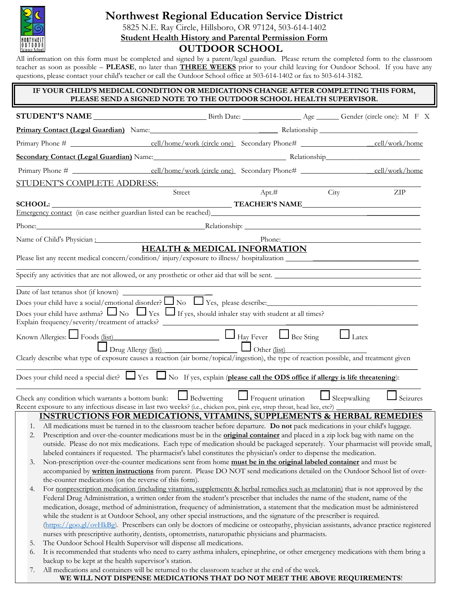

# **Northwest Regional Education Service District**

5825 N.E. Ray Circle, Hillsboro, OR 97124, 503-614-1402 **Student Health History and Parental Permission Form**

# **OUTDOOR SCHOOL**

All information on this form must be completed and signed by a parent/legal guardian. Please return the completed form to the classroom teacher as soon as possible – **PLEASE**, no later than **THREE WEEKS** prior to your child leaving for Outdoor School. If you have any questions, please contact your child's teacher or call the Outdoor School office at 503-614-1402 or fax to 503-614-3182.

### **IF YOUR CHILD'S MEDICAL CONDITION OR MEDICATIONS CHANGE AFTER COMPLETING THIS FORM, PLEASE SEND A SIGNED NOTE TO THE OUTDOOR SCHOOL HEALTH SUPERVISOR. STUDENT'S NAME** Birth Date: Age Gender (circle one): M F X Primary Contact (Legal Guardian) Name: Name: Relationship Relationship Primary Phone # cell/home/work (circle one) Secondary Phone# \_\_cell/work/home **Secondary Contact (Legal Guardian)** Name: Relationship\_\_\_\_\_\_\_\_\_\_\_\_\_\_\_\_\_\_\_\_\_\_\_\_\_ Primary Phone # cell/home/work (circle one) Secondary Phone# cell/work/home STUDENT'S COMPLETE ADDRESS: Street Apt.# City ZIP **SCHOOL: TEACHER'S NAME** Emergency contact (in case neither guardian listed can be reached) Phone: Relationship: Relationship: Relationship: Relationship: Relationship: Relationship: Relationship: Relationship: Relationship: Relationship: Relationship: Relationship: Relationship: Relationship: Relationship: Relat Name of Child's Physician : Phone: **HEALTH & MEDICAL INFORMATION** Please list any recent medical concern/condition/ injury/exposure to illness/ hospitalization \_\_\_\_\_\_\_\_\_\_\_\_\_\_\_\_\_ Specify any activities that are not allowed, or any prosthetic or other aid that will be sent. Date of last tetanus shot (if known) \_ Does your child have a social/emotional disorder? No Yes, please describe:\_\_\_\_\_\_\_\_\_\_\_\_\_\_\_\_\_\_\_\_\_\_\_\_\_\_\_\_\_\_\_\_\_\_\_\_\_\_\_\_ Does your child have asthma?  $\Box$  No  $\Box$  Yes  $\Box$  If yes, should inhaler stay with student at all times? Explain frequency/severity/treatment of attacks? \_\_\_\_\_\_\_\_\_\_\_\_\_\_\_\_\_\_\_\_\_\_\_\_\_\_\_\_\_\_\_\_\_\_\_ Known Allergies: Foods (list)\_\_\_\_\_\_\_\_\_\_\_\_\_\_\_\_\_\_\_\_\_\_\_\_\_\_\_\_ Hay Fever Bee Sting Latex Drug Allergy (list) \_\_\_\_\_\_\_\_\_\_\_\_\_\_\_\_\_\_\_ Other (list)\_\_\_ Clearly describe what type of exposure causes a reaction (air borne/topical/ingestion), the type of reaction possible, and treatment given  $\_$  , and the set of the set of the set of the set of the set of the set of the set of the set of the set of the set of the set of the set of the set of the set of the set of the set of the set of the set of the set of th Does your child need a special diet?  $\Box$  Yes  $\Box$  No If yes, explain (**please call the ODS office if allergy is life threatening**): Check any condition which warrants a bottom bunk:  $\Box$  Bedwetting  $\Box$  Frequent urination  $\Box$  Sleepwalking  $\Box$  Seizures Recent exposure to any infectious disease in last two weeks? (i.e., chicken pox, pink eye, strep throat, head lice, etc?) **INSTRUCTIONS FOR MEDICATIONS, VITAMINS, SUPPLEMENTS & HERBAL REMEDIES** 1. All medications must be turned in to the classroom teacher before departure. **Do not** pack medications in your child's luggage. 2. Prescription and over-the-counter medications must be in the **original container** and placed in a zip lock bag with name on the outside. Please do not mix medications. Each type of medication should be packaged seperately. Your pharmacist will provide small, labeled containers if requested. The pharmacist's label constitutes the physician's order to dispense the medication. 3. Non-prescription over-the-counter medications sent from home **must be in the original labeled container** and must be accompanied by **written instructions** from parent. Please DO NOT send medications detailed on the Outdoor School list of overthe-counter medications (on the reverse of this form). 4. For <u>nonprescription medication (including vitamins, supplements & herbal remedies such as melatonin</u>) that is not approved by the Federal Drug Administration, a written order from the student's prescriber that includes the name of the student, name of the medication, dosage, method of administration, frequency of administration, a statement that the medication must be administered while the student is at Outdoor School, any other special instructions, and the signature of the prescriber is required. [\(https://goo.gl/ovHkBg\)](https://goo.gl/ovHkBg). Prescribers can only be doctors of medicine or osteopathy, physician assistants, advance practice registered nurses with prescriptive authority, dentists, optometrists, naturopathic physicians and pharmacists. 5. The Outdoor School Health Supervisor will dispense all medications. 6. It is recommended that students who need to carry asthma inhalers, epinephrine, or other emergency medications with them bring a backup to be kept at the health supervisor's station.

7. All medications and containers will be returned to the classroom teacher at the end of the week. **WE WILL NOT DISPENSE MEDICATIONS THAT DO NOT MEET THE ABOVE REQUIREMENTS**!